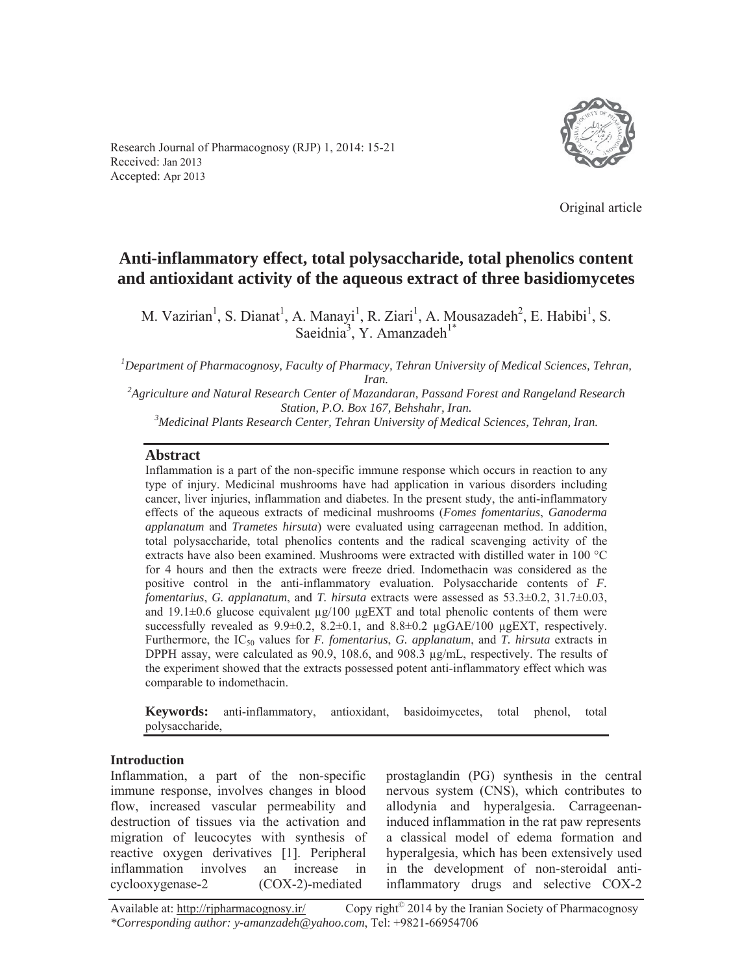Research Journal of Pharmacognosy (RJP) 1, 2014: 15-21 Received: Jan 2013 Accepted: Apr 2013



Original article

# **Anti-inflammatory effect, total polysaccharide, total phenolics content and antioxidant activity of the aqueous extract of three basidiomycetes**

M. Vazirian<sup>1</sup>, S. Dianat<sup>1</sup>, A. Manayi<sup>1</sup>, R. Ziari<sup>1</sup>, A. Mousazadeh<sup>2</sup>, E. Habibi<sup>1</sup>, S. Saeidnia<sup>3</sup>, Y. Amanzadeh<sup>1\*</sup>

*1 Department of Pharmacognosy, Faculty of Pharmacy, Tehran University of Medical Sciences, Tehran, Iran. 2 Agriculture and Natural Research Center of Mazandaran, Passand Forest and Rangeland Research* 

*Station, P.O. Box 167, Behshahr, Iran.* 

*Medicinal Plants Research Center, Tehran University of Medical Sciences, Tehran, Iran.* 

### **Abstract**

Inflammation is a part of the non-specific immune response which occurs in reaction to any type of injury. Medicinal mushrooms have had application in various disorders including cancer, liver injuries, inflammation and diabetes. In the present study, the anti-inflammatory effects of the aqueous extracts of medicinal mushrooms (*Fomes fomentarius*, *Ganoderma applanatum* and *Trametes hirsuta*) were evaluated using carrageenan method. In addition, total polysaccharide, total phenolics contents and the radical scavenging activity of the extracts have also been examined. Mushrooms were extracted with distilled water in 100 °C for 4 hours and then the extracts were freeze dried. Indomethacin was considered as the positive control in the anti-inflammatory evaluation. Polysaccharide contents of *F. fomentarius*, *G. applanatum*, and *T. hirsuta* extracts were assessed as 53.3±0.2, 31.7±0.03, and 19.1±0.6 glucose equivalent μg/100 μgEXT and total phenolic contents of them were successfully revealed as  $9.9\pm0.2$ ,  $8.2\pm0.1$ , and  $8.8\pm0.2$  μgGAE/100 μgEXT, respectively. Furthermore, the IC50 values for *F. fomentarius*, *G. applanatum*, and *T. hirsuta* extracts in DPPH assay, were calculated as 90.9, 108.6, and 908.3 μg/mL, respectively. The results of the experiment showed that the extracts possessed potent anti-inflammatory effect which was comparable to indomethacin.

**Keywords:** anti-inflammatory, antioxidant, basidoimycetes, total phenol, total polysaccharide,

#### **Introduction**

Inflammation, a part of the non-specific immune response, involves changes in blood flow, increased vascular permeability and destruction of tissues via the activation and migration of leucocytes with synthesis of reactive oxygen derivatives [1]. Peripheral inflammation involves an increase in cyclooxygenase-2 (COX-2)-mediated

prostaglandin (PG) synthesis in the central nervous system (CNS), which contributes to allodynia and hyperalgesia. Carrageenaninduced inflammation in the rat paw represents a classical model of edema formation and hyperalgesia, which has been extensively used in the development of non-steroidal antiinflammatory drugs and selective COX-2

Available at: http://rjpharmacognosy.ir/ Copy right<sup>©</sup> 2014 by the Iranian Society of Pharmacognosy *\*Corresponding author: y-amanzadeh@yahoo.com*, Tel: +9821-66954706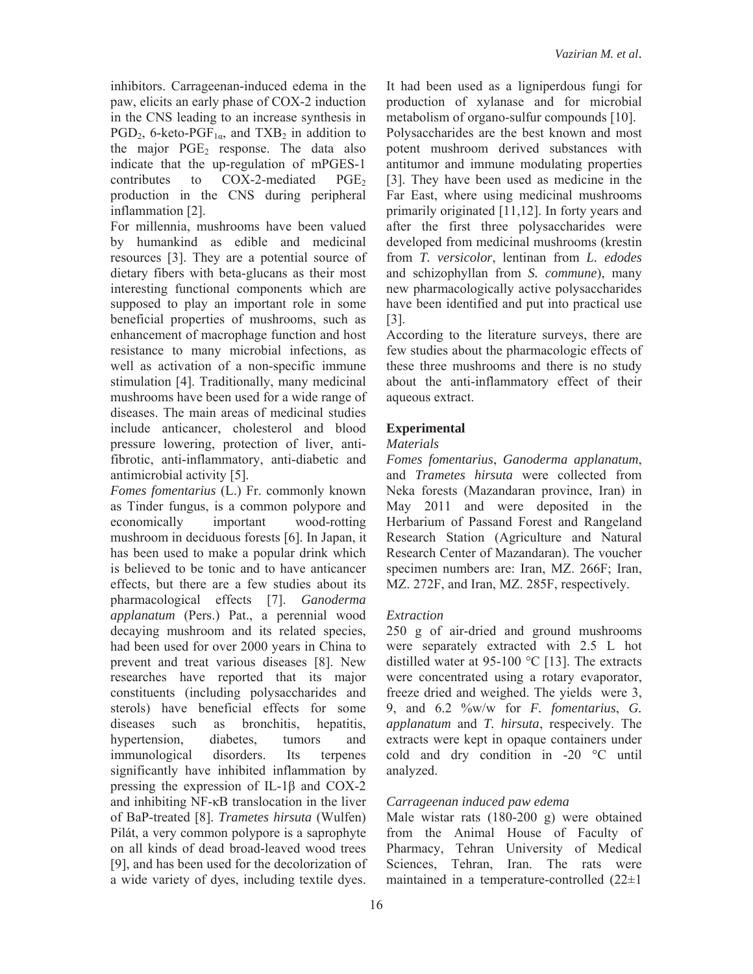inhibitors. Carrageenan-induced edema in the paw, elicits an early phase of COX-2 induction in the CNS leading to an increase synthesis in  $PGD_2$ , 6-keto-PGF<sub>1 $\alpha$ </sub>, and TXB<sub>2</sub> in addition to the major  $PGE_2$  response. The data also indicate that the up-regulation of mPGES-1 contributes to  $COX-2$ -mediated  $PGE_2$ production in the CNS during peripheral inflammation [2].

For millennia, mushrooms have been valued by humankind as edible and medicinal resources [3]. They are a potential source of dietary fibers with beta-glucans as their most interesting functional components which are supposed to play an important role in some beneficial properties of mushrooms, such as enhancement of macrophage function and host resistance to many microbial infections, as well as activation of a non-specific immune stimulation [4]. Traditionally, many medicinal mushrooms have been used for a wide range of diseases. The main areas of medicinal studies include anticancer, cholesterol and blood pressure lowering, protection of liver, antifibrotic, anti-inflammatory, anti-diabetic and antimicrobial activity [5].

*Fomes fomentarius* (L.) Fr. commonly known as Tinder fungus, is a common polypore and economically important wood-rotting mushroom in deciduous forests [6]. In Japan, it has been used to make a popular drink which is believed to be tonic and to have anticancer effects, but there are a few studies about its pharmacological effects [7]. *Ganoderma applanatum* (Pers.) Pat., a perennial wood decaying mushroom and its related species, had been used for over 2000 years in China to prevent and treat various diseases [8]. New researches have reported that its major constituents (including polysaccharides and sterols) have beneficial effects for some diseases such as bronchitis, hepatitis, hypertension, diabetes, tumors and immunological disorders. Its terpenes significantly have inhibited inflammation by pressing the expression of IL-1 $\beta$  and COX-2 and inhibiting  $NF$ - $\kappa$ B translocation in the liver of BaP-treated [8]. *Trametes hirsuta* (Wulfen) Pilát, a very common polypore is a saprophyte on all kinds of dead broad-leaved wood trees [9], and has been used for the decolorization of a wide variety of dyes, including textile dyes.

It had been used as a ligniperdous fungi for production of xylanase and for microbial metabolism of organo-sulfur compounds [10]. Polysaccharides are the best known and most potent mushroom derived substances with antitumor and immune modulating properties [3]. They have been used as medicine in the Far East, where using medicinal mushrooms primarily originated [11,12]. In forty years and after the first three polysaccharides were developed from medicinal mushrooms (krestin from *T. versicolor*, lentinan from *L. edodes* and schizophyllan from *S. commune*), many new pharmacologically active polysaccharides have been identified and put into practical use [3].

According to the literature surveys, there are few studies about the pharmacologic effects of these three mushrooms and there is no study about the anti-inflammatory effect of their aqueous extract.

## **Experimental**

### *Materials*

*Fomes fomentarius*, *Ganoderma applanatum*, and *Trametes hirsuta* were collected from Neka forests (Mazandaran province, Iran) in May 2011 and were deposited in the Herbarium of Passand Forest and Rangeland Research Station (Agriculture and Natural Research Center of Mazandaran). The voucher specimen numbers are: Iran, MZ. 266F; Iran, MZ. 272F, and Iran, MZ. 285F, respectively.

### *Extraction*

250 g of air-dried and ground mushrooms were separately extracted with 2.5 L hot distilled water at 95-100 °C [13]. The extracts were concentrated using a rotary evaporator, freeze dried and weighed. The yields were 3, 9, and 6.2 %w/w for *F. fomentarius*, *G. applanatum* and *T. hirsuta*, respecively. The extracts were kept in opaque containers under cold and dry condition in -20 °C until analyzed.

### *Carrageenan induced paw edema*

Male wistar rats (180-200 g) were obtained from the Animal House of Faculty of Pharmacy, Tehran University of Medical Sciences, Tehran, Iran. The rats were maintained in a temperature-controlled (22±1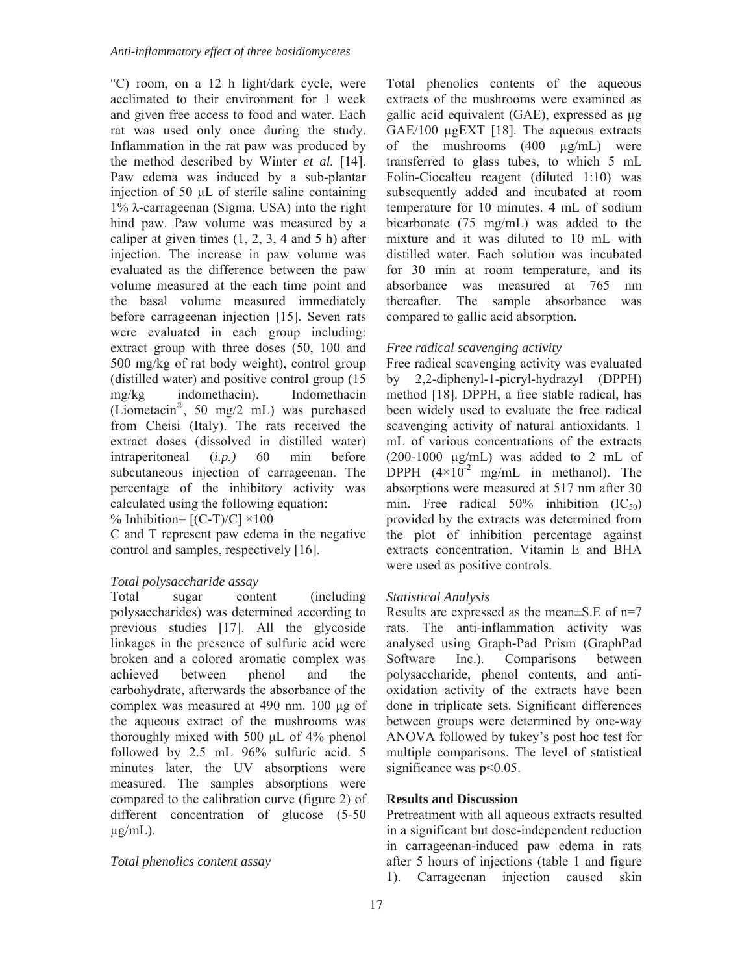°C) room, on a 12 h light/dark cycle, were acclimated to their environment for 1 week and given free access to food and water. Each rat was used only once during the study. Inflammation in the rat paw was produced by the method described by Winter *et al.* [14]. Paw edema was induced by a sub-plantar injection of 50 μL of sterile saline containing  $1\%$   $\lambda$ -carrageenan (Sigma, USA) into the right hind paw. Paw volume was measured by a caliper at given times  $(1, 2, 3, 4$  and  $5$  h) after injection. The increase in paw volume was evaluated as the difference between the paw volume measured at the each time point and the basal volume measured immediately before carrageenan injection [15]. Seven rats were evaluated in each group including: extract group with three doses (50, 100 and 500 mg/kg of rat body weight), control group (distilled water) and positive control group (15 mg/kg indomethacin). Indomethacin (Liometacin®, 50 mg/2 mL) was purchased from Cheisi (Italy). The rats received the extract doses (dissolved in distilled water) intraperitoneal (*i.p.)* 60 min before subcutaneous injection of carrageenan. The percentage of the inhibitory activity was calculated using the following equation: % Inhibition=  $[(C-T)/C] \times 100$ 

C and T represent paw edema in the negative control and samples, respectively [16].

## *Total polysaccharide assay*

Total sugar content (including polysaccharides) was determined according to previous studies [17]. All the glycoside linkages in the presence of sulfuric acid were broken and a colored aromatic complex was achieved between phenol and the carbohydrate, afterwards the absorbance of the complex was measured at  $490$  nm. 100  $\mu$ g of the aqueous extract of the mushrooms was thoroughly mixed with 500  $\mu$ L of 4% phenol followed by 2.5 mL 96% sulfuric acid. 5 minutes later, the UV absorptions were measured. The samples absorptions were compared to the calibration curve (figure 2) of different concentration of glucose (5-50  $\mu$ g/mL).

### *Total phenolics content assay*

Total phenolics contents of the aqueous extracts of the mushrooms were examined as gallic acid equivalent (GAE), expressed as μg GAE/100 μgEXT [18]. The aqueous extracts of the mushrooms (400 μg/mL) were transferred to glass tubes, to which 5 mL Folin-Ciocalteu reagent (diluted 1:10) was subsequently added and incubated at room temperature for 10 minutes. 4 mL of sodium bicarbonate (75 mg/mL) was added to the mixture and it was diluted to 10 mL with distilled water. Each solution was incubated for 30 min at room temperature, and its absorbance was measured at 765 nm thereafter. The sample absorbance was compared to gallic acid absorption.

### *Free radical scavenging activity*

Free radical scavenging activity was evaluated by 2,2-diphenyl-1-picryl-hydrazyl (DPPH) method [18]. DPPH, a free stable radical, has been widely used to evaluate the free radical scavenging activity of natural antioxidants. 1 mL of various concentrations of the extracts (200-1000  $\mu$ g/mL) was added to 2 mL of DPPH  $(4\times10^{-2} \text{ mg/mL} \text{ in methanol})$ . The absorptions were measured at 517 nm after 30 min. Free radical  $50\%$  inhibition  $(IC_{50})$ provided by the extracts was determined from the plot of inhibition percentage against extracts concentration. Vitamin E and BHA were used as positive controls.

### *Statistical Analysis*

Results are expressed as the mean $\pm$ S.E of n=7 rats. The anti-inflammation activity was analysed using Graph-Pad Prism (GraphPad Software Inc.). Comparisons between polysaccharide, phenol contents, and antioxidation activity of the extracts have been done in triplicate sets. Significant differences between groups were determined by one-way ANOVA followed by tukey's post hoc test for multiple comparisons. The level of statistical significance was  $p<0.05$ .

### **Results and Discussion**

Pretreatment with all aqueous extracts resulted in a significant but dose-independent reduction in carrageenan-induced paw edema in rats after 5 hours of injections (table 1 and figure 1). Carrageenan injection caused skin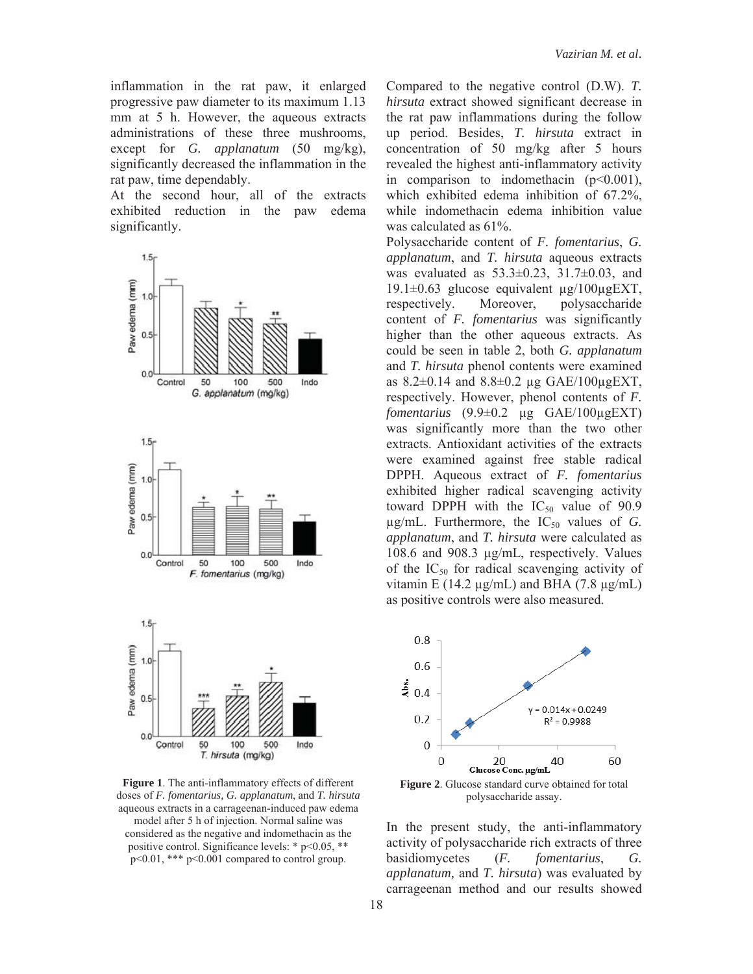inflammation in the rat paw, it enlarged progressive paw diameter to its maximum 1.13 mm at 5 h. However, the aqueous extracts administrations of these three mushrooms, except for *G. applanatum* (50 mg/kg), significantly decreased the inflammation in the rat paw, time dependably.

At the second hour, all of the extracts exhibited reduction in the paw edema significantly.



**Figure 1**. The anti-inflammatory effects of different doses of *F. fomentarius, G. applanatum*, and *T. hirsuta* aqueous extracts in a carrageenan-induced paw edema model after 5 h of injection. Normal saline was considered as the negative and indomethacin as the positive control. Significance levels: \* p<0.05, \*\* p<0.01, \*\*\* p<0.001 compared to control group.

Compared to the negative control (D.W). *T. hirsuta* extract showed significant decrease in the rat paw inflammations during the follow up period. Besides, *T. hirsuta* extract in concentration of 50 mg/kg after 5 hours revealed the highest anti-inflammatory activity in comparison to indomethacin  $(p<0.001)$ , which exhibited edema inhibition of 67.2%, while indomethacin edema inhibition value was calculated as 61%.

Polysaccharide content of *F. fomentarius*, *G. applanatum*, and *T. hirsuta* aqueous extracts was evaluated as  $53.3 \pm 0.23$ ,  $31.7 \pm 0.03$ , and 19.1±0.63 glucose equivalent μg/100μgEXT, respectively. Moreover, polysaccharide content of *F. fomentarius* was significantly higher than the other aqueous extracts. As could be seen in table 2, both *G. applanatum* and *T. hirsuta* phenol contents were examined as  $8.2 \pm 0.14$  and  $8.8 \pm 0.2$  μg  $GAE/100\mu gEXT$ , respectively. However, phenol contents of *F. fomentarius* (9.9±0.2 μg GAE/100μgEXT) was significantly more than the two other extracts. Antioxidant activities of the extracts were examined against free stable radical DPPH. Aqueous extract of *F. fomentarius*  exhibited higher radical scavenging activity toward DPPH with the  $IC_{50}$  value of 90.9  $\mu$ g/mL. Furthermore, the  $IC_{50}$  values of *G*. *applanatum*, and *T. hirsuta* were calculated as 108.6 and 908.3 μg/mL, respectively. Values of the  $IC_{50}$  for radical scavenging activity of vitamin E (14.2 μg/mL) and BHA (7.8 μg/mL) as positive controls were also measured.



polysaccharide assay.

In the present study, the anti-inflammatory activity of polysaccharide rich extracts of three basidiomycetes (*F. fomentarius*, *G. applanatum,* and *T. hirsuta*) was evaluated by carrageenan method and our results showed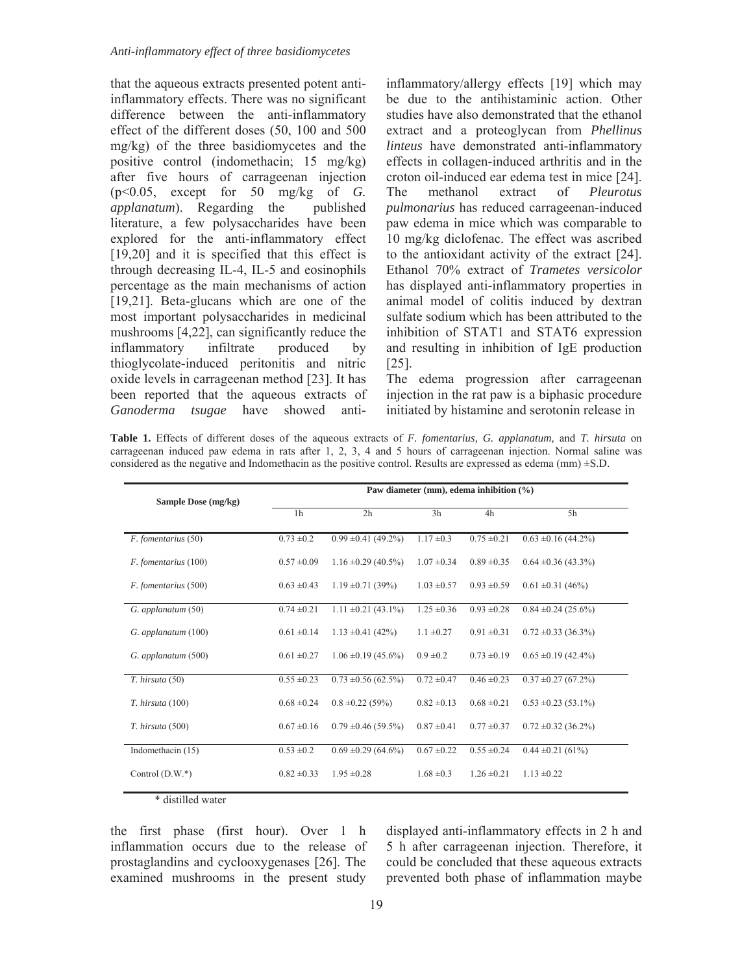that the aqueous extracts presented potent antiinflammatory effects. There was no significant difference between the anti-inflammatory effect of the different doses (50, 100 and 500 mg/kg) of the three basidiomycetes and the positive control (indomethacin; 15 mg/kg) after five hours of carrageenan injection (p<0.05, except for 50 mg/kg of *G. applanatum*). Regarding the published literature, a few polysaccharides have been explored for the anti-inflammatory effect [19,20] and it is specified that this effect is through decreasing IL-4, IL-5 and eosinophils percentage as the main mechanisms of action [19,21]. Beta-glucans which are one of the most important polysaccharides in medicinal mushrooms [4,22], can significantly reduce the inflammatory infiltrate produced by thioglycolate-induced peritonitis and nitric oxide levels in carrageenan method [23]. It has been reported that the aqueous extracts of *Ganoderma tsugae* have showed anti-

inflammatory/allergy effects [19] which may be due to the antihistaminic action. Other studies have also demonstrated that the ethanol extract and a proteoglycan from *Phellinus linteus* have demonstrated anti-inflammatory effects in collagen-induced arthritis and in the croton oil-induced ear edema test in mice [24]. The methanol extract of *Pleurotus pulmonarius* has reduced carrageenan-induced paw edema in mice which was comparable to 10 mg/kg diclofenac. The effect was ascribed to the antioxidant activity of the extract [24]. Ethanol 70% extract of *Trametes versicolor* has displayed anti-inflammatory properties in animal model of colitis induced by dextran sulfate sodium which has been attributed to the inhibition of STAT1 and STAT6 expression and resulting in inhibition of IgE production [25].

The edema progression after carrageenan injection in the rat paw is a biphasic procedure initiated by histamine and serotonin release in

|                                                                                                                     |  |  |  |  |  |  |  |  |  |  |  |  | <b>Table 1.</b> Effects of different doses of the aqueous extracts of F. fomentarius, G. applanatum, and T. hirsuta on |  |  |
|---------------------------------------------------------------------------------------------------------------------|--|--|--|--|--|--|--|--|--|--|--|--|------------------------------------------------------------------------------------------------------------------------|--|--|
|                                                                                                                     |  |  |  |  |  |  |  |  |  |  |  |  | carrageenan induced paw edema in rats after 1, 2, 3, 4 and 5 hours of carrageenan injection. Normal saline was         |  |  |
| considered as the negative and Indomethacin as the positive control. Results are expressed as edema (mm) $\pm$ S.D. |  |  |  |  |  |  |  |  |  |  |  |  |                                                                                                                        |  |  |

| Sample Dose (mg/kg)  | Paw diameter (mm), edema inhibition (%) |                          |                 |                 |                         |  |  |  |  |
|----------------------|-----------------------------------------|--------------------------|-----------------|-----------------|-------------------------|--|--|--|--|
|                      | 1 <sub>h</sub>                          | 2h                       | 3h              | 4h              | 5h                      |  |  |  |  |
| F. fomentarius (50)  | $0.73 \pm 0.2$                          | $0.99 \pm 0.41 (49.2\%)$ | $1.17 \pm 0.3$  | $0.75 \pm 0.21$ | $0.63 \pm 0.16$ (44.2%) |  |  |  |  |
| F. fomentarius (100) | $0.57 \pm 0.09$                         | $1.16 \pm 0.29$ (40.5%)  | $1.07 \pm 0.34$ | $0.89 \pm 0.35$ | $0.64 \pm 0.36$ (43.3%) |  |  |  |  |
| F. fomentarius (500) | $0.63 \pm 0.43$                         | $1.19 \pm 0.71$ (39%)    | $1.03 \pm 0.57$ | $0.93 \pm 0.59$ | $0.61 \pm 0.31 (46\%)$  |  |  |  |  |
| G. applanatum (50)   | $0.74 \pm 0.21$                         | $1.11 \pm 0.21$ (43.1%)  | $1.25 \pm 0.36$ | $0.93 \pm 0.28$ | $0.84 \pm 0.24$ (25.6%) |  |  |  |  |
| G. applanatum (100)  | $0.61 \pm 0.14$                         | $1.13 \pm 0.41 (42\%)$   | $1.1 \pm 0.27$  | $0.91 \pm 0.31$ | $0.72 \pm 0.33$ (36.3%) |  |  |  |  |
| G. applanatum (500)  | $0.61 \pm 0.27$                         | $1.06 \pm 0.19$ (45.6%)  | $0.9 \pm 0.2$   | $0.73 \pm 0.19$ | $0.65 \pm 0.19$ (42.4%) |  |  |  |  |
| T. hirsuta (50)      | $0.55 \pm 0.23$                         | $0.73 \pm 0.56$ (62.5%)  | $0.72 \pm 0.47$ | $0.46 \pm 0.23$ | $0.37 \pm 0.27$ (67.2%) |  |  |  |  |
| T. hirsuta (100)     | $0.68 \pm 0.24$                         | $0.8 \pm 0.22$ (59%)     | $0.82 \pm 0.13$ | $0.68 \pm 0.21$ | $0.53 \pm 0.23$ (53.1%) |  |  |  |  |
| T. hirsuta (500)     | $0.67 \pm 0.16$                         | $0.79 \pm 0.46$ (59.5%)  | $0.87 \pm 0.41$ | $0.77 \pm 0.37$ | $0.72 \pm 0.32$ (36.2%) |  |  |  |  |
| Indomethacin (15)    | $0.53 \pm 0.2$                          | $0.69 \pm 0.29$ (64.6%)  | $0.67 \pm 0.22$ | $0.55 \pm 0.24$ | $0.44 \pm 0.21$ (61%)   |  |  |  |  |
| Control $(D.W.*)$    | $0.82 \pm 0.33$                         | $1.95 \pm 0.28$          | $1.68 \pm 0.3$  | $1.26 \pm 0.21$ | $1.13 \pm 0.22$         |  |  |  |  |
| * distilled water    |                                         |                          |                 |                 |                         |  |  |  |  |

the first phase (first hour). Over 1 h inflammation occurs due to the release of prostaglandins and cyclooxygenases [26]. The examined mushrooms in the present study

displayed anti-inflammatory effects in 2 h and 5 h after carrageenan injection. Therefore, it could be concluded that these aqueous extracts prevented both phase of inflammation maybe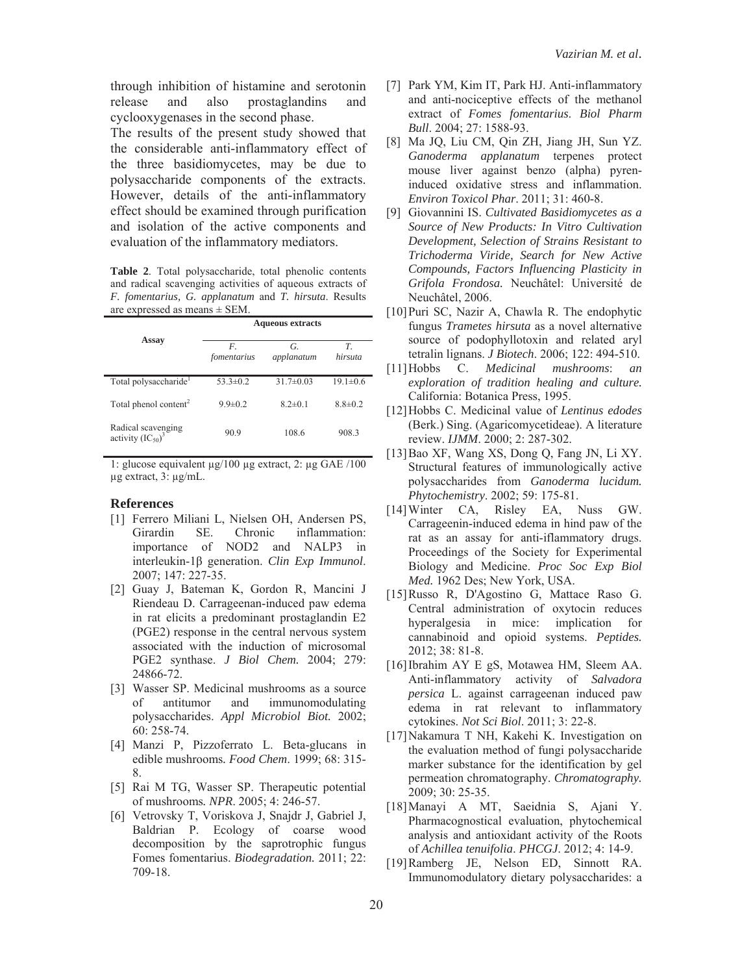through inhibition of histamine and serotonin release and also prostaglandins and cyclooxygenases in the second phase.

The results of the present study showed that the considerable anti-inflammatory effect of the three basidiomycetes, may be due to polysaccharide components of the extracts. However, details of the anti-inflammatory effect should be examined through purification and isolation of the active components and evaluation of the inflammatory mediators.

**Table 2**. Total polysaccharide, total phenolic contents and radical scavenging activities of aqueous extracts of *F. fomentarius, G. applanatum* and *T. hirsuta*. Results are expressed as means ± SEM.

|                                              | <b>Aqueous extracts</b> |                  |                |  |  |  |  |  |
|----------------------------------------------|-------------------------|------------------|----------------|--|--|--|--|--|
| Assay                                        | F.<br>fomentarius       | G.<br>applanatum | T.<br>hirsuta  |  |  |  |  |  |
| Total polysaccharide <sup>1</sup>            | $53.3 \pm 0.2$          | $31.7 \pm 0.03$  | $19.1 \pm 0.6$ |  |  |  |  |  |
| Total phenol content <sup>2</sup>            | $9.9 \pm 0.2$           | $8.2 \pm 0.1$    | $8.8 \pm 0.2$  |  |  |  |  |  |
| Radical scavenging<br>activity $(IC_{50})^3$ | 90.9                    | 108.6            | 908.3          |  |  |  |  |  |

1: glucose equivalent μg/100 μg extract, 2: μg GAE /100 μg extract, 3: μg/mL.

#### **References**

- [1] Ferrero Miliani L, Nielsen OH, Andersen PS, Girardin SE. Chronic inflammation: importance of NOD2 and NALP3 in interleukin-1ȕ generation. *Clin Exp Immunol*. 2007; 147: 227-35.
- [2] Guay J, Bateman K, Gordon R, Mancini J Riendeau D. Carrageenan-induced paw edema in rat elicits a predominant prostaglandin E2 (PGE2) response in the central nervous system associated with the induction of microsomal PGE2 synthase. *J Biol Chem.* 2004; 279: 24866-72.
- [3] Wasser SP. Medicinal mushrooms as a source of antitumor and immunomodulating polysaccharides. *Appl Microbiol Biot.* 2002; 60: 258-74.
- [4] Manzi P, Pizzoferrato L. Beta-glucans in edible mushrooms*. Food Chem*. 1999; 68: 315- 8.
- [5] Rai M TG, Wasser SP. Therapeutic potential of mushrooms*. NPR*. 2005; 4: 246-57.
- [6] Vetrovsky T, Voriskova J, Snajdr J, Gabriel J, Baldrian P. Ecology of coarse wood decomposition by the saprotrophic fungus Fomes fomentarius. *Biodegradation.* 2011; 22: 709-18.
- [7] Park YM, Kim IT, Park HJ. Anti-inflammatory and anti-nociceptive effects of the methanol extract of *Fomes fomentarius*. *Biol Pharm Bull*. 2004; 27: 1588-93.
- [8] Ma JQ, Liu CM, Qin ZH, Jiang JH, Sun YZ. *Ganoderma applanatum* terpenes protect mouse liver against benzo (alpha) pyreninduced oxidative stress and inflammation. *Environ Toxicol Phar*. 2011; 31: 460-8.
- [9] Giovannini IS. *Cultivated Basidiomycetes as a Source of New Products: In Vitro Cultivation Development, Selection of Strains Resistant to Trichoderma Viride, Search for New Active Compounds, Factors Influencing Plasticity in Grifola Frondosa.* Neuchâtel: Université de Neuchâtel, 2006.
- [10]Puri SC, Nazir A, Chawla R. The endophytic fungus *Trametes hirsuta* as a novel alternative source of podophyllotoxin and related aryl tetralin lignans. *J Biotech*. 2006; 122: 494-510.
- [11]Hobbs C. *Medicinal mushrooms*: *an exploration of tradition healing and culture.* California: Botanica Press, 1995.
- [12]Hobbs C. Medicinal value of *Lentinus edodes* (Berk.) Sing. (Agaricomycetideae). A literature review. *IJMM*. 2000; 2: 287-302.
- [13]Bao XF, Wang XS, Dong Q, Fang JN, Li XY. Structural features of immunologically active polysaccharides from *Ganoderma lucidum. Phytochemistry*. 2002; 59: 175-81.
- [14]Winter CA, Risley EA, Nuss GW. Carrageenin-induced edema in hind paw of the rat as an assay for anti-iflammatory drugs. Proceedings of the Society for Experimental Biology and Medicine. *Proc Soc Exp Biol Med.* 1962 Des; New York, USA.
- [15]Russo R, D'Agostino G, Mattace Raso G. Central administration of oxytocin reduces hyperalgesia in mice: implication for cannabinoid and opioid systems. *Peptides.* 2012; 38: 81-8.
- [16]Ibrahim AY E gS, Motawea HM, Sleem AA. Anti-inflammatory activity of *Salvadora persica* L. against carrageenan induced paw edema in rat relevant to inflammatory cytokines. *Not Sci Biol*. 2011; 3: 22-8.
- [17]Nakamura T NH, Kakehi K. Investigation on the evaluation method of fungi polysaccharide marker substance for the identification by gel permeation chromatography. *Chromatography.* 2009; 30: 25-35.
- [18]Manayi A MT, Saeidnia S, Ajani Y. Pharmacognostical evaluation, phytochemical analysis and antioxidant activity of the Roots of *Achillea tenuifolia*. *PHCGJ*. 2012; 4: 14-9.
- [19]Ramberg JE, Nelson ED, Sinnott RA. Immunomodulatory dietary polysaccharides: a